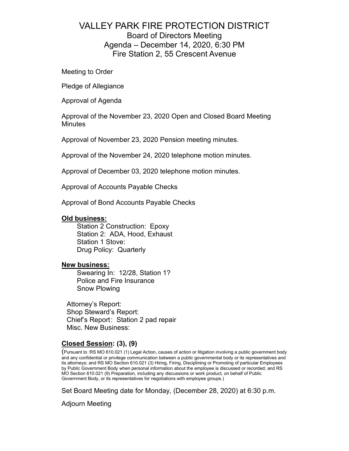# VALLEY PARK FIRE PROTECTION DISTRICT Board of Directors Meeting Agenda – December 14, 2020, 6:30 PM Fire Station 2, 55 Crescent Avenue

Meeting to Order

Pledge of Allegiance

Approval of Agenda

Approval of the November 23, 2020 Open and Closed Board Meeting **Minutes** 

Approval of November 23, 2020 Pension meeting minutes.

Approval of the November 24, 2020 telephone motion minutes.

Approval of December 03, 2020 telephone motion minutes.

Approval of Accounts Payable Checks

Approval of Bond Accounts Payable Checks

## **Old business:**

Station 2 Construction: Epoxy Station 2: ADA, Hood, Exhaust Station 1 Stove: Drug Policy: Quarterly

## **New business:**

Swearing In: 12/28, Station 1? Police and Fire Insurance Snow Plowing

Attorney's Report: Shop Steward's Report: Chief's Report: Station 2 pad repair Misc. New Business:

# **Closed Session: (3), (9)**

(Pursuant to :RS MO 610.021 (1) Legal Action, causes of action or litigation involving a public government body and any confidential or privilege communication between a public governmental body or its representatives and its attorneys; and RS MO Section 610.021 (3) Hiring, Firing, Disciplining or Promoting of particular Employees by Public Government Body when personal information about the employee is discussed or recorded; and RS MO Section 610.021 (9) Preparation, including any discussions or work product, on behalf of Public Government Body, or its representatives for negotiations with employee groups.)

Set Board Meeting date for Monday, (December 28, 2020) at 6:30 p.m.

Adjourn Meeting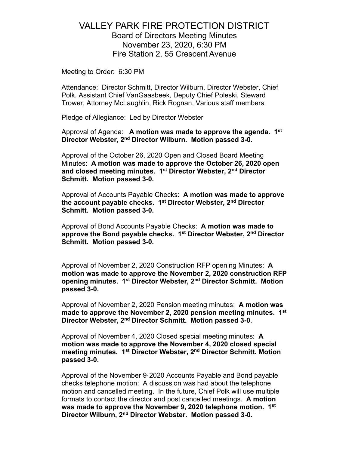# VALLEY PARK FIRE PROTECTION DISTRICT Board of Directors Meeting Minutes November 23, 2020, 6:30 PM Fire Station 2, 55 Crescent Avenue

Meeting to Order: 6:30 PM

Attendance: Director Schmitt, Director Wilburn, Director Webster, Chief Polk, Assistant Chief VanGaasbeek, Deputy Chief Poleski, Steward Trower, Attorney McLaughlin, Rick Rognan, Various staff members.

Pledge of Allegiance: Led by Director Webster

Approval of Agenda: **A motion was made to approve the agenda. 1st Director Webster, 2nd Director Wilburn. Motion passed 3-0.**

Approval of the October 26, 2020 Open and Closed Board Meeting Minutes: **A motion was made to approve the October 26, 2020 open and closed meeting minutes. 1st Director Webster, 2nd Director Schmitt. Motion passed 3-0.**

Approval of Accounts Payable Checks: **A motion was made to approve the account payable checks. 1st Director Webster, 2nd Director Schmitt. Motion passed 3-0.** 

Approval of Bond Accounts Payable Checks: **A motion was made to approve the Bond payable checks. 1st Director Webster, 2nd Director Schmitt. Motion passed 3-0.** 

Approval of November 2, 2020 Construction RFP opening Minutes: **A motion was made to approve the November 2, 2020 construction RFP opening minutes. 1st Director Webster, 2nd Director Schmitt. Motion passed 3-0.**

Approval of November 2, 2020 Pension meeting minutes: **A motion was made to approve the November 2, 2020 pension meeting minutes. 1st Director Webster, 2nd Director Schmitt. Motion passed 3-0**.

Approval of November 4, 2020 Closed special meeting minutes: **A motion was made to approve the November 4, 2020 closed special meeting minutes. 1st Director Webster, 2nd Director Schmitt. Motion passed 3-0.**

Approval of the November 9, 2020 Accounts Payable and Bond payable checks telephone motion: A discussion was had about the telephone motion and cancelled meeting. In the future, Chief Polk will use multiple formats to contact the director and post cancelled meetings. **A motion was made to approve the November 9, 2020 telephone motion. 1st Director Wilburn, 2nd Director Webster. Motion passed 3-0.**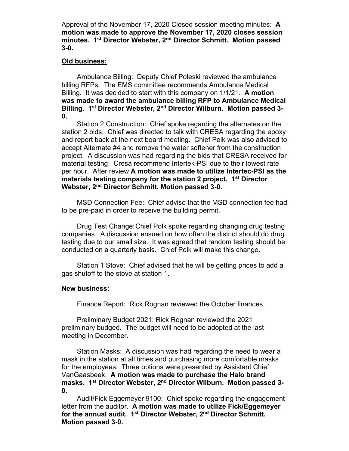Approval of the November 17, 2020 Closed session meeting minutes: **A motion was made to approve the November 17, 2020 closes session minutes. 1st Director Webster, 2nd Director Schmitt. Motion passed 3-0.**

## **Old business:**

Ambulance Billing: Deputy Chief Poleski reviewed the ambulance billing RFPs. The EMS committee recommends Ambulance Medical Billing. It was decided to start with this company on 1/1/21. **A motion was made to award the ambulance billing RFP to Ambulance Medical Billing. 1st Director Webster, 2nd Director Wilburn. Motion passed 3- 0.** 

Station 2 Construction: Chief spoke regarding the alternates on the station 2 bids. Chief was directed to talk with CRESA regarding the epoxy and report back at the next board meeting. Chief Polk was also advised to accept Alternate #4 and remove the water softener from the construction project. A discussion was had regarding the bids that CRESA received for material testing. Cresa recommend Intertek-PSI due to their lowest rate per hour. After review **A motion was made to utilize Intertec-PSI as the materials testing company for the station 2 project. 1st Director Webster, 2nd Director Schmitt. Motion passed 3-0.**

MSD Connection Fee: Chief advise that the MSD connection fee had to be pre-paid in order to receive the building permit.

Drug Test Change:Chief Polk spoke regarding changing drug testing companies. A discussion ensued on how often the district should do drug testing due to our small size. It was agreed that random testing should be conducted on a quarterly basis. Chief Polk will make this change.

Station 1 Stove: Chief advised that he will be getting prices to add a gas shutoff to the stove at station 1.

## **New business:**

Finance Report: Rick Rognan reviewed the October finances.

Preliminary Budget 2021: Rick Rognan reviewed the 2021 preliminary budged. The budget will need to be adopted at the last meeting in December.

Station Masks: A discussion was had regarding the need to wear a mask in the station at all times and purchasing more comfortable masks for the employees. Three options were presented by Assistant Chief VanGaasbeek. **A motion was made to purchase the Halo brand masks. 1st Director Webster, 2nd Director Wilburn. Motion passed 3- 0.** 

Audit/Fick Eggemeyer 9100: Chief spoke regarding the engagement letter from the auditor. **A motion was made to utilize Fick/Eggemeyer for the annual audit. 1st Director Webster, 2nd Director Schmitt. Motion passed 3-0.**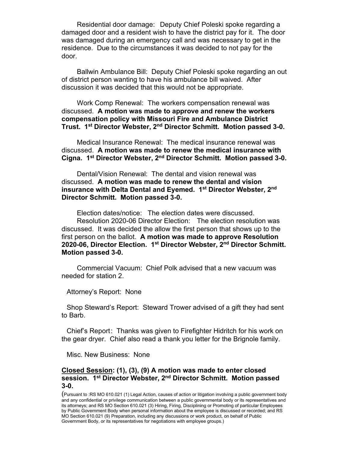Residential door damage: Deputy Chief Poleski spoke regarding a damaged door and a resident wish to have the district pay for it. The door was damaged during an emergency call and was necessary to get in the residence. Due to the circumstances it was decided to not pay for the door.

Ballwin Ambulance Bill: Deputy Chief Poleski spoke regarding an out of district person wanting to have his ambulance bill waived. After discussion it was decided that this would not be appropriate.

Work Comp Renewal: The workers compensation renewal was discussed. **A motion was made to approve and renew the workers compensation policy with Missouri Fire and Ambulance District Trust. 1st Director Webster, 2nd Director Schmitt. Motion passed 3-0.**

Medical Insurance Renewal: The medical insurance renewal was discussed. **A motion was made to renew the medical insurance with Cigna. 1st Director Webster, 2nd Director Schmitt. Motion passed 3-0.**

Dental/Vision Renewal: The dental and vision renewal was discussed. **A motion was made to renew the dental and vision insurance with Delta Dental and Eyemed. 1st Director Webster, 2nd Director Schmitt. Motion passed 3-0.**

Election dates/notice: The election dates were discussed. Resolution 2020-06 Director Election: The election resolution was discussed. It was decided the allow the first person that shows up to the first person on the ballot. **A motion was made to approve Resolution 2020-06, Director Election. 1st Director Webster, 2nd Director Schmitt. Motion passed 3-0.**

Commercial Vacuum: Chief Polk advised that a new vacuum was needed for station 2.

Attorney's Report: None

Shop Steward's Report: Steward Trower advised of a gift they had sent to Barb.

Chief's Report: Thanks was given to Firefighter Hidritch for his work on the gear dryer. Chief also read a thank you letter for the Brignole family.

Misc. New Business: None

## **Closed Session: (1), (3), (9) A motion was made to enter closed session. 1st Director Webster, 2nd Director Schmitt. Motion passed 3-0.**

(Pursuant to :RS MO 610.021 (1) Legal Action, causes of action or litigation involving a public government body and any confidential or privilege communication between a public governmental body or its representatives and its attorneys; and RS MO Section 610.021 (3) Hiring, Firing, Disciplining or Promoting of particular Employees by Public Government Body when personal information about the employee is discussed or recorded; and RS MO Section 610.021 (9) Preparation, including any discussions or work product, on behalf of Public Government Body, or its representatives for negotiations with employee groups.)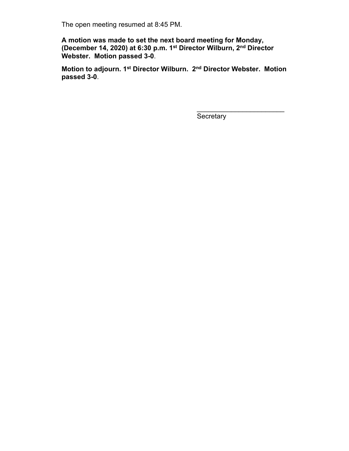The open meeting resumed at 8:45 PM.

**A motion was made to set the next board meeting for Monday, (December 14, 2020) at 6:30 p.m. 1st Director Wilburn, 2nd Director Webster. Motion passed 3-0**.

**Motion to adjourn. 1st Director Wilburn. 2nd Director Webster. Motion passed 3-0**.

**Secretary** 

\_\_\_\_\_\_\_\_\_\_\_\_\_\_\_\_\_\_\_\_\_\_\_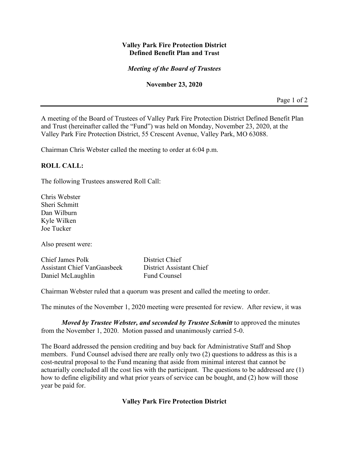# **Valley Park Fire Protection District Defined Benefit Plan and Trust**

# *Meeting of the Board of Trustees*

## **November 23, 2020**

Page 1 of 2

A meeting of the Board of Trustees of Valley Park Fire Protection District Defined Benefit Plan and Trust (hereinafter called the "Fund") was held on Monday, November 23, 2020, at the Valley Park Fire Protection District, 55 Crescent Avenue, Valley Park, MO 63088.

Chairman Chris Webster called the meeting to order at 6:04 p.m.

# **ROLL CALL:**

The following Trustees answered Roll Call:

Chris Webster Sheri Schmitt Dan Wilburn Kyle Wilken Joe Tucker

Also present were:

Chief James Polk District Chief Assistant Chief VanGaasbeek District Assistant Chief Daniel McLaughlin Fund Counsel

Chairman Webster ruled that a quorum was present and called the meeting to order.

The minutes of the November 1, 2020 meeting were presented for review. After review, it was

*Moved by Trustee Webster, and seconded by Trustee Schmitt* to approved the minutes from the November 1, 2020. Motion passed and unanimously carried 5-0.

The Board addressed the pension crediting and buy back for Administrative Staff and Shop members. Fund Counsel advised there are really only two (2) questions to address as this is a cost-neutral proposal to the Fund meaning that aside from minimal interest that cannot be actuarially concluded all the cost lies with the participant. The questions to be addressed are (1) how to define eligibility and what prior years of service can be bought, and (2) how will those year be paid for.

## **Valley Park Fire Protection District**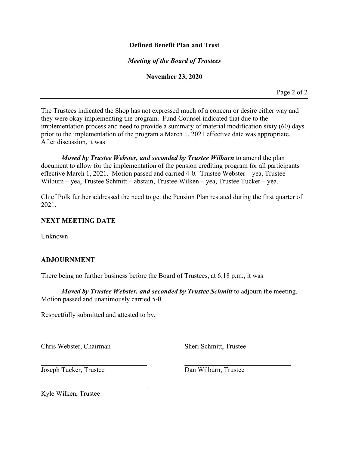# **Defined Benefit Plan and Trust**

# *Meeting of the Board of Trustees*

## **November 23, 2020**

Page 2 of 2

The Trustees indicated the Shop has not expressed much of a concern or desire either way and they were okay implementing the program. Fund Counsel indicated that due to the implementation process and need to provide a summary of material modification sixty (60) days prior to the implementation of the program a March 1, 2021 effective date was appropriate. After discussion, it was

*Moved by Trustee Webster, and seconded by Trustee Wilburn* to amend the plan document to allow for the implementation of the pension crediting program for all participants effective March 1, 2021. Motion passed and carried 4-0. Trustee Webster – yea, Trustee Wilburn – yea, Trustee Schmitt – abstain, Trustee Wilken – yea, Trustee Tucker – yea.

Chief Polk further addressed the need to get the Pension Plan restated during the first quarter of 2021.

## **NEXT MEETING DATE**

Unknown

# **ADJOURNMENT**

There being no further business before the Board of Trustees, at 6:18 p.m., it was

*Moved by Trustee Webster, and seconded by Trustee Schmitt* to adjourn the meeting. Motion passed and unanimously carried 5-0.

 $\mathcal{L}_\text{G}$  , and the contribution of the contribution of the contribution of the contribution of the contribution of the contribution of the contribution of the contribution of the contribution of the contribution of t

Respectfully submitted and attested to by,

 $\mathcal{L}_\mathcal{L}$ 

Chris Webster, Chairman Sheri Schmitt, Trustee

Joseph Tucker, Trustee Dan Wilburn, Trustee

Kyle Wilken, Trustee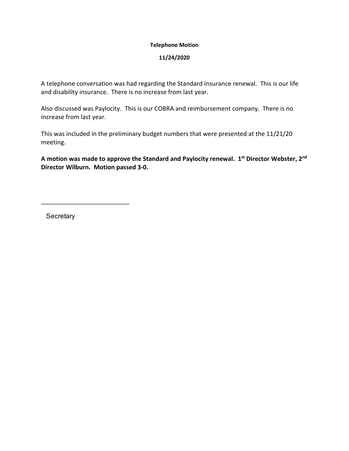## **Telephone Motion**

## **11/24/2020**

A telephone conversation was had regarding the Standard Insurance renewal. This is our life and disability insurance. There is no increase from last year.

Also discussed was Paylocity. This is our COBRA and reimbursement company. There is no increase from last year.

This was included in the preliminary budget numbers that were presented at the 11/21/20 meeting.

**A motion was made to approve the Standard and Paylocity renewal. 1st Director Webster, 2nd Director Wilburn. Motion passed 3-0.** 

**Secretary** 

\_\_\_\_\_\_\_\_\_\_\_\_\_\_\_\_\_\_\_\_\_\_\_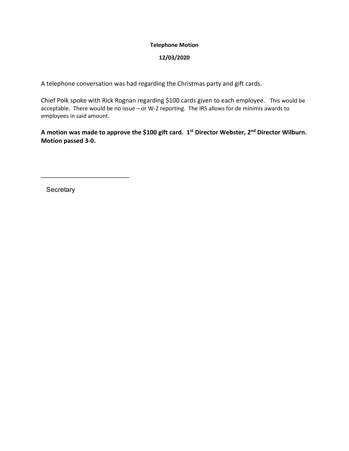## **Telephone Motion**

## **12/03/2020**

A telephone conversation was had regarding the Christmas party and gift cards.

Chief Polk spoke with Rick Rognan regarding \$100 cards given to each employee. This would be acceptable. There would be no issue – or W-2 reporting. The IRS allows for de minimis awards to employees in said amount.

**A motion was made to approve the \$100 gift card. 1st Director Webster, 2nd Director Wilburn. Motion passed 3-0.** 

**Secretary** 

\_\_\_\_\_\_\_\_\_\_\_\_\_\_\_\_\_\_\_\_\_\_\_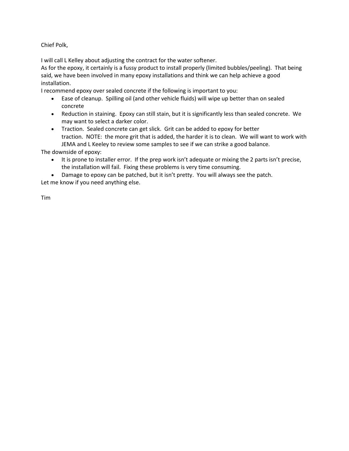Chief Polk,

I will call L Kelley about adjusting the contract for the water softener.

As for the epoxy, it certainly is a fussy product to install properly (limited bubbles/peeling). That being said, we have been involved in many epoxy installations and think we can help achieve a good installation.

I recommend epoxy over sealed concrete if the following is important to you:

- Ease of cleanup. Spilling oil (and other vehicle fluids) will wipe up better than on sealed concrete
- Reduction in staining. Epoxy can still stain, but it is significantly less than sealed concrete. We may want to select a darker color.
- Traction. Sealed concrete can get slick. Grit can be added to epoxy for better traction. NOTE: the more grit that is added, the harder it is to clean. We will want to work with JEMA and L Keeley to review some samples to see if we can strike a good balance.

The downside of epoxy:

- It is prone to installer error. If the prep work isn't adequate or mixing the 2 parts isn't precise, the installation will fail. Fixing these problems is very time consuming.
- Damage to epoxy can be patched, but it isn't pretty. You will always see the patch.

Let me know if you need anything else.

Tim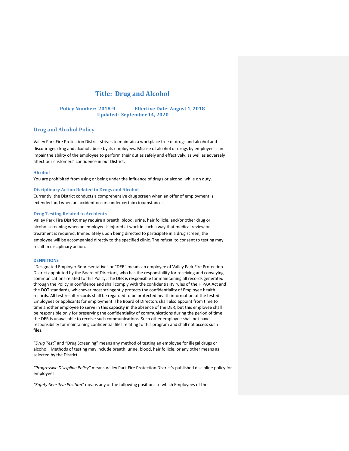## **Title: Drug and Alcohol**

## **Policy Number: 2018-9 Effective Date: August 1, 2018 Updated: September 14, 2020**

## **Drug and Alcohol Policy**

Valley Park Fire Protection District strives to maintain a workplace free of drugs and alcohol and discourages drug and alcohol abuse by its employees. Misuse of alcohol or drugs by employees can impair the ability of the employee to perform their duties safely and effectively, as well as adversely affect our customers' confidence in our District.

#### **Alcohol**

You are prohibited from using or being under the influence of drugs or alcohol while on duty.

#### **Disciplinary Action Related to Drugs and Alcohol**

Currently, the District conducts a comprehensive drug screen when an offer of employment is extended and when an accident occurs under certain circumstances.

#### **Drug Testing Related to Accidents**

Valley Park Fire District may require a breath, blood, urine, hair follicle, and/or other drug or alcohol screening when an employee is injured at work in such a way that medical review or treatment is required. Immediately upon being directed to participate in a drug screen, the employee will be accompanied directly to the specified clinic. The refusal to consent to testing may result in disciplinary action.

#### **DEFINITIONS**

"Designated Employer Representative" or "DER" means an employee of Valley Park Fire Protection District appointed by the Board of Directors, who has the responsibility for receiving and conveying communications related to this Policy. The DER is responsible for maintaining all records generated through the Policy in confidence and shall comply with the confidentiality rules of the HIPAA Act and the DOT standards, whichever most stringently protects the confidentiality of Employee health records. All test result records shall be regarded to be protected health information of the tested Employees or applicants for employment. The Board of Directors shall also appoint from time to time another employee to serve in this capacity in the absence of the DER, but this employee shall be responsible only for preserving the confidentiality of communications during the period of time the DER is unavailable to receive such communications. Such other employee shall not have responsibility for maintaining confidential files relating to this program and shall not access such files.

"*Drug Test*" and "Drug Screening" means any method of testing an employee for illegal drugs or alcohol. Methods of testing may include breath, urine, blood, hair follicle, or any other means as selected by the District.

*"Progressive Discipline Policy"* means Valley Park Fire Protection District's published discipline policy for employees.

*"Safety-Sensitive Position"* means any of the following positions to which Employees of the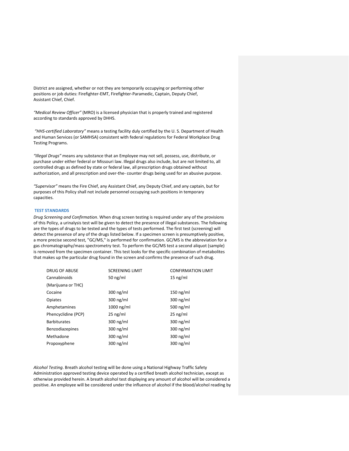District are assigned, whether or not they are temporarily occupying or performing other positions or job duties: Firefighter-EMT, Firefighter-Paramedic, Captain, Deputy Chief, Assistant Chief, Chief.

*"Medical Review Officer"* (MRO) is a licensed physician that is properly trained and registered according to standards approved by DHHS.

*"HHS-certified Laboratory"* means a testing facility duly certified by the U. S. Department of Health and Human Services (or SAMHSA) consistent with federal regulations for Federal Workplace Drug Testing Programs.

*"Illegal Drugs"* means any substance that an Employee may not sell, possess, use, distribute, or purchase under either federal or Missouri law. Illegal drugs also include, but are not limited to, all controlled drugs as defined by state or federal law, all prescription drugs obtained without authorization, and all prescription and over-the- counter drugs being used for an abusive purpose.

*"Supervisor"* means the Fire Chief, any Assistant Chief, any Deputy Chief, and any captain, but for purposes of this Policy shall not include personnel occupying such positions in temporary capacities.

#### **TEST STANDARDS**

*Drug Screening and Confirmation*. When drug screen testing is required under any of the provisions of this Policy, a urinalysis test will be given to detect the presence of illegal substances. The following are the types of drugs to be tested and the types of tests performed. The first test (screening) will detect the presence of any of the drugs listed below. If a specimen screen is presumptively positive, a more precise second test, "GC/MS," is performed for confirmation. GC/MS is the abbreviation for a gas chromatography/mass spectrometry test. To perform the GC/MS test a second aliquot (sample) is removed from the specimen container. This test looks for the specific combination of metabolites that makes up the particular drug found in the screen and confirms the presence of such drug.

| <b>SCREENING LIMIT</b> | <b>CONFIRMATION LIMIT</b> |
|------------------------|---------------------------|
| 50 $ng/ml$             | 15 $ng/ml$                |
|                        |                           |
| $300$ ng/ml            | 150 ng/ml                 |
| $300$ ng/ml            | $300$ ng/ml               |
| $1000$ ng/ml           | 500 $ng/ml$               |
| $25$ ng/ml             | $25$ ng/ml                |
| $300$ ng/ml            | $300$ ng/ml               |
| $300 \text{ ng/ml}$    | $300$ ng/ml               |
| $300$ ng/ml            | $300$ ng/ml               |
| $300$ ng/ml            | $300$ ng/ml               |
|                        |                           |

*Alcohol Testing*. Breath alcohol testing will be done using a National Highway Traffic Safety Administration approved testing device operated by a certified breath alcohol technician, except as otherwise provided herein. A breath alcohol test displaying any amount of alcohol will be considered a positive. An employee will be considered under the influence of alcohol if the blood/alcohol reading by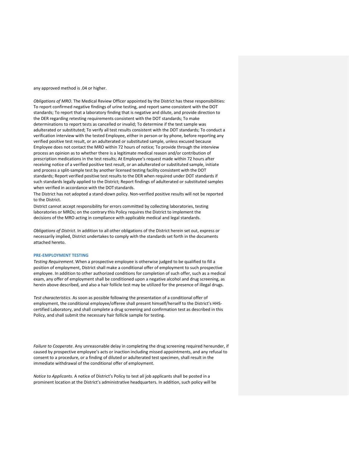any approved method is .04 or higher.

*Obligations of MRO*. The Medical Review Officer appointed by the District has these responsibilities: To report confirmed negative findings of urine testing, and report same consistent with the DOT standards; To report that a laboratory finding that is negative and dilute, and provide direction to the DER regarding retesting requirements consistent with the DOT standards; To make determinations to report tests as cancelled or invalid; To determine if the test sample was adulterated or substituted; To verify all test results consistent with the DOT standards; To conduct a verification interview with the tested Employee, either in person or by phone, before reporting any verified positive test result, or an adulterated or substituted sample, unless excused because Employee does not contact the MRO within 72 hours of notice; To provide through the interview process an opinion as to whether there is a legitimate medical reason and/or contribution of prescription medications in the test results; At Employee's request made within 72 hours after receiving notice of a verified positive test result, or an adulterated or substituted sample, initiate and process a split-sample test by another licensed testing facility consistent with the DOT standards; Report verified positive test results to the DER when required under DOT standards if such standards legally applied to the District; Report findings of adulterated or substituted samples when verified in accordance with the DOT standards.

The District has not adopted a stand-down policy. Non-verified positive results will not be reported to the District.

District cannot accept responsibility for errors committed by collecting laboratories, testing laboratories or MROs; on the contrary this Policy requires the District to implement the decisions of the MRO acting in compliance with applicable medical and legal standards.

*Obligations of District*. In addition to all other obligations of the District herein set out, express or necessarily implied, District undertakes to comply with the standards set forth in the documents attached hereto.

#### **PRE-EMPLOYMENT TESTING**

*Testing Requirement*. When a prospective employee is otherwise judged to be qualified to fill a position of employment, District shall make a conditional offer of employment to such prospective employee. In addition to other authorized conditions for completion of such offer, such as a medical exam, any offer of employment shall be conditioned upon a negative alcohol and drug screening, as herein above described, and also a hair follicle test may be utilized for the presence of illegal drugs.

*Test characteristics*. As soon as possible following the presentation of a conditional offer of employment, the conditional employee/offeree shall present himself/herself to the District's HHScertified Laboratory, and shall complete a drug screening and confirmation test as described in this Policy, and shall submit the necessary hair follicle sample for testing.

*Failure to Cooperate*. Any unreasonable delay in completing the drug screening required hereunder, if caused by prospective employee's acts or inaction including missed appointments, and any refusal to consent to a procedure, or a finding of diluted or adulterated test specimen, shall result in the immediate withdrawal of the conditional offer of employment.

*Notice to Applicants*. A notice of District's Policy to test all job applicants shall be posted in a prominent location at the District's administrative headquarters. In addition, such policy will be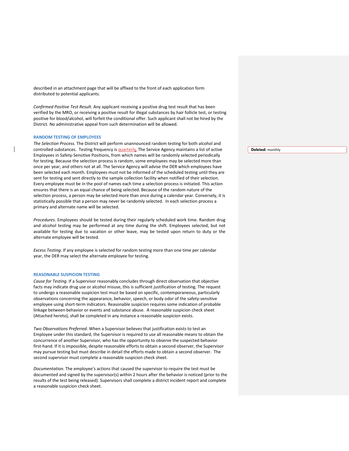described in an attachment page that will be affixed to the front of each application form distributed to potential applicants.

*Confirmed Positive Test Result*. Any applicant receiving a positive drug test result that has been verified by the MRO, or receiving a positive result for illegal substances by hair follicle test, or testing positive for blood/alcohol, will forfeit the conditional offer. Such applicant shall not be hired by the District. No administrative appeal from such determination will be allowed.

#### **RANDOM TESTING OF EMPLOYEES**

*The Selection Process.* The District will perform unannounced random testing for both alcohol and controlled substances. Testing frequency is quarterly. The Service Agency maintains a list of active Employees in Safety-Sensitive Positions, from which names will be randomly selected periodically for testing. Because the selection process is random, some employees may be selected more than once per year, and others not at all. The Service Agency will advise the DER which employees have been selected each month. Employees must not be informed of the scheduled testing until they are sent for testing and sent directly to the sample collection facility when notified of their selection. Every employee must be in the pool of names each time a selection process is initiated. This action ensures that there is an equal chance of being selected. Because of the random nature of the selection process, a person may be selected more than once during a calendar year. Conversely, it is statistically possible that a person may never be randomly selected. In each selection process a primary and alternate name will be selected.

*Procedures*. Employees should be tested during their regularly scheduled work time. Random drug and alcohol testing may be performed at any time during the shift. Employees selected, but not available for testing due to vacation or other leave, may be tested upon return to duty or the alternate employee will be tested.

*Excess Testing*. If any employee is selected for random testing more than one time per calendar year, the DER may select the alternate employee for testing.

#### **REASONABLE SUSPICION TESTING**

*Cause for Testing*. If a Supervisor reasonably concludes through direct observation that objective facts may indicate drug use or alcohol misuse, this is sufficient justification of testing. The request to undergo a reasonable suspicion test must be based on specific, contemporaneous, particularly observations concerning the appearance, behavior, speech, or body odor of the safety-sensitive employee using short-term indicators. Reasonable suspicion requires some indication of probable linkage between behavior or events and substance abuse. A reasonable suspicion check sheet (Attached hereto), shall be completed in any instance a reasonable suspicion exists.

*Two Observations Preferred*. When a Supervisor believes that justification exists to test an Employee under this standard, the Supervisor is required to use all reasonable means to obtain the concurrence of another Supervisor, who has the opportunity to observe the suspected behavior first-hand. If it is impossible, despite reasonable efforts to obtain a second observer, the Supervisor may pursue testing but must describe in detail the efforts made to obtain a second observer. The second supervisor must complete a reasonable suspicion check sheet.

*Documentation*. The employee's actions that caused the supervisor to require the test must be documented and signed by the supervisor(s) within 2 hours after the behavior is noticed (prior to the results of the test being released). Supervisors shall complete a district incident report and complete a reasonable suspicion check sheet.

**Deleted:** monthly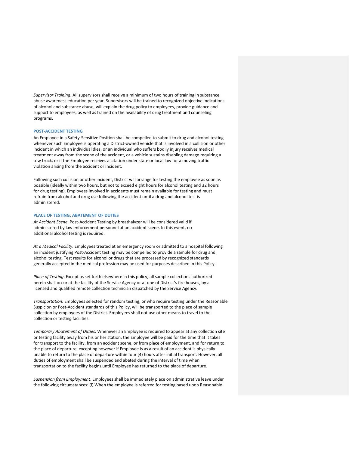*Supervisor Training*. All supervisors shall receive a minimum of two hours of training in substance abuse awareness education per year. Supervisors will be trained to recognized objective indications of alcohol and substance abuse, will explain the drug policy to employees, provide guidance and support to employees, as well as trained on the availability of drug treatment and counseling programs.

#### **POST-ACCIDENT TESTING**

An Employee in a Safety-Sensitive Position shall be compelled to submit to drug and alcohol testing whenever such Employee is operating a District-owned vehicle that is involved in a collision or other incident in which an individual dies, or an individual who suffers bodily injury receives medical treatment away from the scene of the accident, or a vehicle sustains disabling damage requiring a tow truck, or if the Employee receives a citation under state or local law for a moving traffic violation arising from the accident or incident.

Following such collision or other incident, District will arrange for testing the employee as soon as possible (ideally within two hours, but not to exceed eight hours for alcohol testing and 32 hours for drug testing). Employees involved in accidents must remain available for testing and must refrain from alcohol and drug use following the accident until a drug and alcohol test is administered.

#### **PLACE OF TESTING; ABATEMENT OF DUTIES**

*At Accident Scene*. Post-Accident Testing by breathalyzer will be considered valid if administered by law enforcement personnel at an accident scene. In this event, no additional alcohol testing is required.

*At a Medical Facility*. Employees treated at an emergency room or admitted to a hospital following an incident justifying Post-Accident testing may be compelled to provide a sample for drug and alcohol testing. Test results for alcohol or drugs that are processed by recognized standards generally accepted in the medical profession may be used for purposes described in this Policy.

*Place of Testing*. Except as set forth elsewhere in this policy, all sample collections authorized herein shall occur at the facility of the Service Agency or at one of District's fire houses, by a licensed and qualified remote collection technician dispatched by the Service Agency.

*Transportation*. Employees selected for random testing, or who require testing under the Reasonable Suspicion or Post-Accident standards of this Policy, will be transported to the place of sample collection by employees of the District. Employees shall not use other means to travel to the collection or testing facilities.

*Temporary Abatement of Duties*. Whenever an Employee is required to appear at any collection site or testing facility away from his or her station, the Employee will be paid for the time that it takes for transport to the facility, from an accident scene, or from place of employment, and for return to the place of departure, excepting however if Employee is as a result of an accident is physically unable to return to the place of departure within four (4) hours after initial transport. However, all duties of employment shall be suspended and abated during the interval of time when transportation to the facility begins until Employee has returned to the place of departure.

*Suspension from Employment*. Employees shall be immediately place on administrative leave under the following circumstances: (i) When the employee is referred for testing based upon Reasonable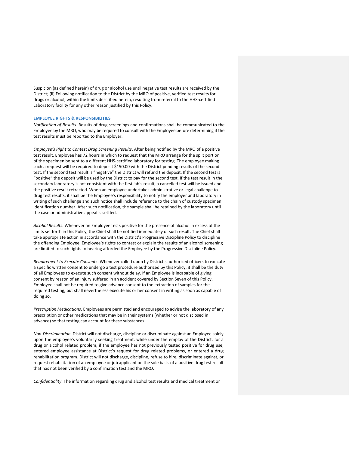Suspicion (as defined herein) of drug or alcohol use until negative test results are received by the District; (ii) Following notification to the District by the MRO of positive, verified test results for drugs or alcohol, within the limits described herein, resulting from referral to the HHS-certified Laboratory facility for any other reason justified by this Policy.

#### **EMPLOYEE RIGHTS & RESPONSIBILITIES**

*Notification of Results*. Results of drug screenings and confirmations shall be communicated to the Employee by the MRO, who may be required to consult with the Employee before determining if the test results must be reported to the Employer.

*Employee's Right to Contest Drug Screening Results*. After being notified by the MRO of a positive test result, Employee has 72 hours in which to request that the MRO arrange for the split portion of the specimen be sent to a different HHS-certified laboratory for testing. The employee making such a request will be required to deposit \$150.00 with the District pending results of the second test. If the second test result is "negative" the District will refund the deposit. If the second test is "positive" the deposit will be used by the District to pay for the second test. If the test result in the secondary laboratory is not consistent with the first lab's result, a cancelled test will be issued and the positive result retracted. When an employee undertakes administrative or legal challenge to drug test results, it shall be the Employee's responsibility to notify the employer and laboratory in writing of such challenge and such notice shall include reference to the chain of custody specimen identification number. After such notification, the sample shall be retained by the laboratory until the case or administrative appeal is settled.

*Alcohol Results*. Whenever an Employee tests positive for the presence of alcohol in excess of the limits set forth in this Policy, the Chief shall be notified immediately of such result. The Chief shall take appropriate action in accordance with the District's Progressive Discipline Policy to discipline the offending Employee. Employee's rights to contest or explain the results of an alcohol screening are limited to such rights to hearing afforded the Employee by the Progressive Discipline Policy.

*Requirement to Execute Consents*. Whenever called upon by District's authorized officers to execute a specific written consent to undergo a test procedure authorized by this Policy, it shall be the duty of all Employees to execute such consent without delay. If an Employee is incapable of giving consent by reason of an injury suffered in an accident covered by Section Seven of this Policy, Employee shall not be required to give advance consent to the extraction of samples for the required testing, but shall nevertheless execute his or her consent in writing as soon as capable of doing so.

*Prescription Medications*. Employees are permitted and encouraged to advise the laboratory of any prescription or other medications that may be in their systems (whether or not disclosed in advance) so that testing can account for these substances.

*Non-Discrimination*. District will not discharge, discipline or discriminate against an Employee solely upon the employee's voluntarily seeking treatment, while under the employ of the District, for a drug or alcohol related problem, if the employee has not previously tested positive for drug use, entered employee assistance at District's request for drug related problems, or entered a drug rehabilitation program. District will not discharge, discipline, refuse to hire, discriminate against, or request rehabilitation of an employee or job applicant on the sole basis of a positive drug test result that has not been verified by a confirmation test and the MRO.

*Confidentiality*. The information regarding drug and alcohol test results and medical treatment or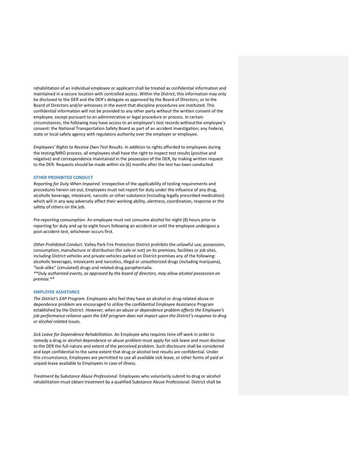rehabilitation of an individual employee or applicant shall be treated as confidential information and maintained in a secure location with controlled access. Within the District, this information may only be disclosed to the DER and the DER's delegate as approved by the Board of Directors, or to the Board of Directors and/or witnesses in the event that discipline procedures are instituted. This confidential information will not be provided to any other party without the written consent of the employee, except pursuant to an administrative or legal procedure or process. In certain circumstances, the following may have access to an employee's test records withoutthe employee's consent: the National Transportation Safety Board as part of an accident investigation; any Federal, state or local safety agency with regulatory authority over the employer or employee.

*Employees' Rights to Receive Own Test Results*. In addition to rights afforded to employees during the testing/MRO process, all employees shall have the right to inspect test results (positive and negative) and correspondence maintained in the possession of the DER, by making written request to the DER. Requests should be made within six (6) months after the test has been conducted.

#### **OTHER PROHIBITED CONDUCT**

*Reporting for Duty When Impaired*. Irrespective of the applicability of testing requirements and procedures herein set out, Employees must not report for duty under the influence of any drug, alcoholic beverage, intoxicant, narcotic or other substance (including legally prescribed medication) which will in any way adversely affect their working ability, alertness, coordination, response or the safety of others on the job.

*Pre-reporting consumption*. An employee must not consume alcohol for eight (8) hours prior to reporting for duty and up to eight hours following an accident or until the employee undergoes a post-accident test, whichever occurs first.

*Other Prohibited Conduct*. Valley Park Fire Protection District prohibits the unlawful use, possession, consumption, manufacture or distribution (for sale or not) on its premises, facilities or job sites, including District vehicles and private vehicles parked on District premises any of the following: alcoholic beverages, intoxicants and narcotics, illegal or unauthorized drugs (including marijuana), "look-alike" (simulated) drugs and related drug paraphernalia.

*\*\*Duly authorized events, as approved by the board of directors, may allow alcohol possession on premise*.\*\*

#### **EMPLOYEE ASSISTANCE**

*The District's EAP Program*. Employees who feel they have an alcohol or drug-related abuse or dependence problem are encouraged to utilize the confidential Employee Assistance Program established by the District. *However, when an abuse or dependence problem affects the Employee's job performance reliance upon the EAP program does not impact upon the District's response to drug or alcohol related issues.*

*Sick Leave for Dependence Rehabilitation*. An Employee who requires time off work in order to remedy a drug or alcohol dependence or abuse problem must apply for sick leave and must disclose to the DER the full nature and extent of the perceived problem. Such disclosure shall be considered and kept confidential to the same extent that drug or alcohol test results are confidential. Under this circumstance, Employees are permitted to use all available sick leave, or other forms of paid or unpaid leave available to Employees in case of illness.

*Treatment by Substance Abuse Professional*. Employees who voluntarily submit to drug or alcohol rehabilitation must obtain treatment by a qualified Substance Abuse Professional. District shall be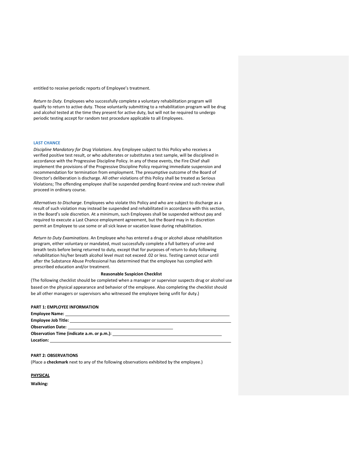entitled to receive periodic reports of Employee's treatment.

*Return to Duty.* Employees who successfully complete a voluntary rehabilitation program will qualify to return to active duty. Those voluntarily submitting to a rehabilitation program will be drug and alcohol tested at the time they present for active duty, but will not be required to undergo periodic testing accept for random test procedure applicable to all Employees.

#### **LAST CHANCE**

*Discipline Mandatory for Drug Violations*. Any Employee subject to this Policy who receives a verified positive test result, or who adulterates or substitutes a test sample, will be disciplined in accordance with the Progressive Discipline Policy. In any of these events, the Fire Chief shall implement the provisions of the Progressive Discipline Policy requiring immediate suspension and recommendation for termination from employment. The presumptive outcome of the Board of Director's deliberation is discharge. All other violations of this Policy shall be treated as Serious Violations; The offending employee shall be suspended pending Board review and such review shall proceed in ordinary course.

*Alternatives to Discharge*. Employees who violate this Policy and who are subject to discharge as a result of such violation may instead be suspended and rehabilitated in accordance with this section, in the Board's sole discretion. At a minimum, such Employees shall be suspended without pay and required to execute a Last Chance employment agreement, but the Board may in its discretion permit an Employee to use some or all sick leave or vacation leave during rehabilitation.

*Return to Duty Examinations*. An Employee who has entered a drug or alcohol abuse rehabilitation program, either voluntary or mandated, must successfully complete a full battery of urine and breath tests before being returned to duty, except that for purposes of return to duty following rehabilitation his/her breath alcohol level must not exceed .02 or less. Testing cannot occur until after the Substance Abuse Professional has determined that the employee has complied with prescribed education and/or treatment.

#### **Reasonable Suspicion Checklist**

(The following checklist should be completed when a manager or supervisor suspects drug or alcohol use based on the physical appearance and behavior of the employee. Also completing the checklist should be all other managers or supervisors who witnessed the employee being unfit for duty.)

#### **PART 1: EMPLOYEE INFORMATION**

| Observation Time (indicate a.m. or p.m.): Name of the series of the series of the series of the series of the s |  |
|-----------------------------------------------------------------------------------------------------------------|--|
| Location:                                                                                                       |  |

#### **PART 2: OBSERVATIONS**

(Place a **checkmark** next to any of the following observations exhibited by the employee.)

**PHYSICAL**

**Walking:**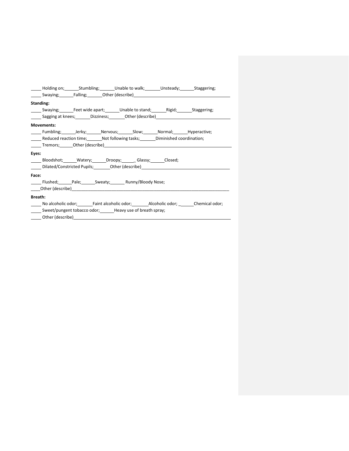|                                                                         |                   |  | ______ Holding on; _________Stumbling; ________Unable to walk; ________Unsteady; ________Staggering; |  |                                                                                                          |
|-------------------------------------------------------------------------|-------------------|--|------------------------------------------------------------------------------------------------------|--|----------------------------------------------------------------------------------------------------------|
|                                                                         |                   |  |                                                                                                      |  |                                                                                                          |
| Standing:                                                               |                   |  |                                                                                                      |  |                                                                                                          |
|                                                                         |                   |  | Swaying; Feet wide apart; Unable to stand; Rigid; Staggering;                                        |  |                                                                                                          |
|                                                                         |                   |  |                                                                                                      |  | _______ Sagging at knees;_________Dizziness;__________Other (describe)______________________________     |
|                                                                         | <b>Movements:</b> |  |                                                                                                      |  |                                                                                                          |
|                                                                         |                   |  | Eumbling; Lerky; Nervous; Slow; Normal; Hyperactive;                                                 |  |                                                                                                          |
|                                                                         |                   |  | Reduced reaction time; Not following tasks; Diminished coordination;                                 |  |                                                                                                          |
|                                                                         |                   |  |                                                                                                      |  |                                                                                                          |
| Eyes:                                                                   |                   |  |                                                                                                      |  |                                                                                                          |
|                                                                         |                   |  | Bloodshot; Watery; Droopy; Glassy; Closed;                                                           |  |                                                                                                          |
|                                                                         |                   |  |                                                                                                      |  |                                                                                                          |
| Face:                                                                   |                   |  |                                                                                                      |  |                                                                                                          |
|                                                                         |                   |  | ______ Flushed; _______Pale; _______ Sweaty; _______ Runny/Bloody Nose;                              |  |                                                                                                          |
|                                                                         |                   |  |                                                                                                      |  |                                                                                                          |
| <b>Breath:</b>                                                          |                   |  |                                                                                                      |  |                                                                                                          |
|                                                                         |                   |  |                                                                                                      |  | ______ No alcoholic odor;__________Faint alcoholic odor;__________Alcoholic odor; ________Chemical odor; |
| _______ Sweet/pungent tobacco odor; ________ Heavy use of breath spray; |                   |  |                                                                                                      |  |                                                                                                          |
|                                                                         |                   |  |                                                                                                      |  |                                                                                                          |
|                                                                         |                   |  |                                                                                                      |  |                                                                                                          |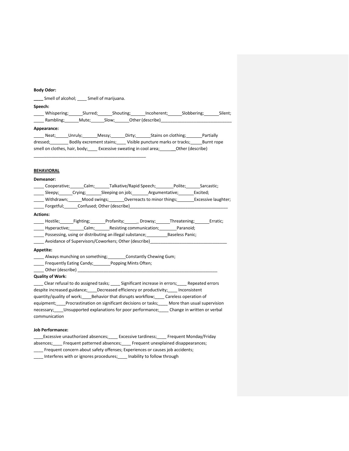#### **Body Odor:**

**\_\_\_\_** Smell of alcohol; \_\_\_\_ Smell of marijuana. **Speech:** Unispering; Slurred; Shouting; Incoherent; Slobbering; Silent; \_\_\_\_<br>
Rambling; \_\_\_\_\_\_\_Mute; \_\_\_\_\_\_\_Slow; \_\_\_\_\_\_\_Other (describe)\_\_\_\_\_ **Appearance:** Neat; Unruly; Messy; Dirty; Stains on clothing; Partially dressed; Bodily excrement stains; Visible puncture marks or tracks; Burnt rope smell on clothes, hair, body; \_\_\_\_ Excessive sweating in cool area; \_\_\_\_\_\_\_ Other (describe)

\_\_\_\_\_\_\_\_\_\_\_\_\_\_\_\_\_\_\_\_\_\_\_\_\_\_\_\_\_\_\_\_\_\_\_\_\_\_\_\_\_\_\_

#### **BEHAVIORAL**

#### **Demeanor:**

|                 |                         |                                                                                                                                                                                                                                |  |                                                                                           | Cooperative; Calm; Talkative/Rapid Speech; Polite; Sarcastic;                                             |
|-----------------|-------------------------|--------------------------------------------------------------------------------------------------------------------------------------------------------------------------------------------------------------------------------|--|-------------------------------------------------------------------------------------------|-----------------------------------------------------------------------------------------------------------|
|                 |                         |                                                                                                                                                                                                                                |  | Sleepy; Crying; Sleeping on job; Argumentative; Excited;                                  |                                                                                                           |
|                 |                         |                                                                                                                                                                                                                                |  |                                                                                           | ______ Withdrawn; _______ Mood swings; ________ Overreacts to minor things; _________ Excessive laughter; |
|                 |                         |                                                                                                                                                                                                                                |  | _______ Forgetful;_______Confused; Other (describe)_____________________________          |                                                                                                           |
| <b>Actions:</b> |                         |                                                                                                                                                                                                                                |  |                                                                                           |                                                                                                           |
|                 |                         |                                                                                                                                                                                                                                |  |                                                                                           | _______Hostile;________Fighting;________Profanity;________Drowsy;_______Threatening;________Erratic;      |
|                 |                         |                                                                                                                                                                                                                                |  | _______ Hyperactive; ________ Calm; ________ Resisting communication; _________ Paranoid; |                                                                                                           |
|                 |                         |                                                                                                                                                                                                                                |  | Possessing, using or distributing an illegal substance; Baseless Panic;                   |                                                                                                           |
|                 |                         |                                                                                                                                                                                                                                |  | _______ Avoidance of Supervisors/Coworkers; Other (describe)___________________________   |                                                                                                           |
| Appetite:       |                         |                                                                                                                                                                                                                                |  |                                                                                           |                                                                                                           |
|                 |                         | Always munching on something; Constantly Chewing Gum;                                                                                                                                                                          |  |                                                                                           |                                                                                                           |
|                 |                         | Frequently Eating Candy; Popping Mints Often;                                                                                                                                                                                  |  |                                                                                           |                                                                                                           |
|                 |                         | Other (describe) and the contract of the contract of the contract of the contract of the contract of the contract of the contract of the contract of the contract of the contract of the contract of the contract of the contr |  |                                                                                           |                                                                                                           |
|                 | <b>Quality of Work:</b> |                                                                                                                                                                                                                                |  |                                                                                           |                                                                                                           |
|                 |                         |                                                                                                                                                                                                                                |  |                                                                                           | ____ Clear refusal to do assigned tasks; ____ Significant increase in errors; ____ Repeated errors        |

despite increased guidance; Decreased efficiency or productivity; Inconsistent quantity/quality of work; \_\_\_\_ Behavior that disrupts workflow; \_\_\_\_ Careless operation of equipment; Procrastination on significant decisions or tasks; More than usual supervision necessary;\_\_\_\_Unsupported explanations for poor performance;\_\_\_\_ Change in written or verbal communication

## **Job Performance:**

\_\_\_\_Excessive unauthorized absences;\_\_\_\_ Excessive tardiness;\_\_\_\_ Frequent Monday/Friday absences;\_\_\_\_ Frequent patterned absences;\_\_\_\_ Frequent unexplained disappearances; \_\_\_\_ Frequent concern about safety offenses; Experiences or causes job accidents; \_\_\_\_ Interferes with or ignores procedures;\_\_\_\_ Inability to follow through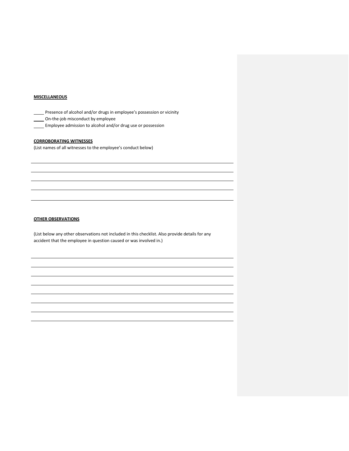## **MISCELLANEOUS**

Presence of alcohol and/or drugs in employee's possession or vicinity

On-the-job misconduct by employee

**Employee admission to alcohol and/or drug use or possession** 

### **CORROBORATING WITNESSES**

(List names of all witnesses to the employee's conduct below)

## **OTHER OBSERVATIONS**

(List below any other observations not included in this checklist. Also provide details for any accident that the employee in question caused or was involved in.)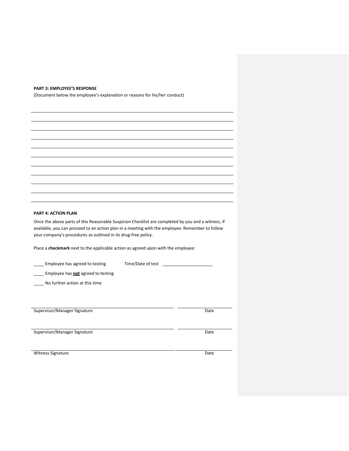#### **PART 3: EMPLOYEE'S RESPONSE**

(Document below the employee's explanation or reasons for his/her conduct)

## **PART 4: ACTION PLAN**

Once the above parts of this Reasonable Suspicion Checklist are completed by you and a witness, if available, you can proceed to an action plan in a meeting with the employee. Remember to follow your company's procedures as outlined in its drug-free policy.

Place a **checkmark** next to the applicable action as agreed upon with the employee:

| Employee has agreed to testing            | Time/Date of test |      |
|-------------------------------------------|-------------------|------|
| Employee has <b>not</b> agreed to testing |                   |      |
| No further action at this time            |                   |      |
|                                           |                   |      |
|                                           |                   |      |
| Supervisor/Manager Signature              |                   | Date |
|                                           |                   |      |
| Supervisor/Manager Signature              |                   | Date |
|                                           |                   |      |
| <b>Witness Signature</b>                  |                   | Date |

 $\overline{\phantom{a}}$